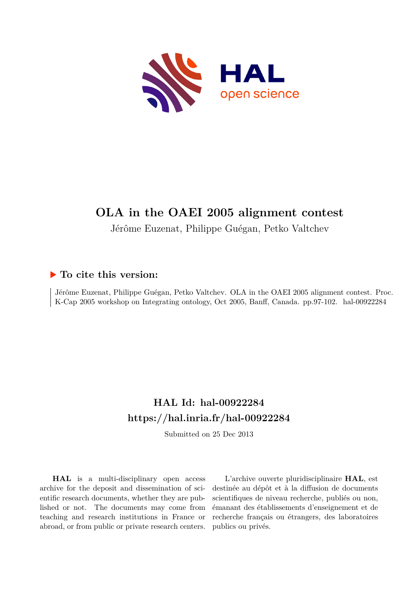

# **OLA in the OAEI 2005 alignment contest**

Jérôme Euzenat, Philippe Guégan, Petko Valtchev

# **To cite this version:**

Jérôme Euzenat, Philippe Guégan, Petko Valtchev. OLA in the OAEI 2005 alignment contest. Proc. K-Cap 2005 workshop on Integrating ontology, Oct 2005, Banff, Canada. pp.97-102. hal-00922284

# **HAL Id: hal-00922284 <https://hal.inria.fr/hal-00922284>**

Submitted on 25 Dec 2013

**HAL** is a multi-disciplinary open access archive for the deposit and dissemination of scientific research documents, whether they are published or not. The documents may come from teaching and research institutions in France or abroad, or from public or private research centers.

L'archive ouverte pluridisciplinaire **HAL**, est destinée au dépôt et à la diffusion de documents scientifiques de niveau recherche, publiés ou non, émanant des établissements d'enseignement et de recherche français ou étrangers, des laboratoires publics ou privés.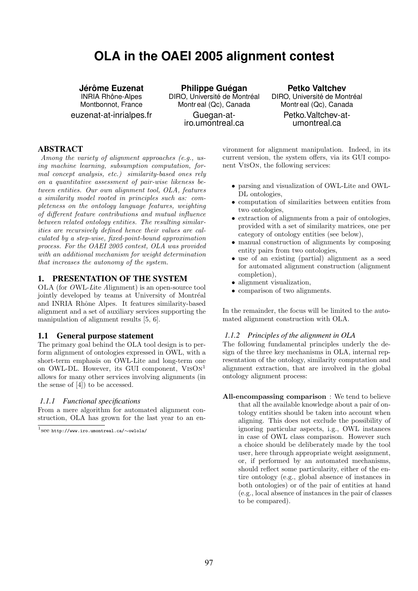# **OLA in the OAEI 2005 alignment contest**

# **Jer´ ome Euzenat ˆ**

**INRIA Rhône-Alpes** Montbonnot, France euzenat-at-inrialpes.fr

**Philippe Guégan** DIRO, Université de Montréal Montr eal (Qc), Canada Guegan-atiro.umontreal.ca

# **Petko Valtchev**

DIRO, Université de Montréal Montr eal (Qc), Canada Petko.Valtchev-atumontreal.ca

# ABSTRACT

Among the variety of alignment approaches (e.g., using machine learning, subsumption computation, formal concept analysis, etc.) similarity-based ones rely on a quantitative assessment of pair-wise likeness between entities. Our own alignment tool, OLA, features a similarity model rooted in principles such as: completeness on the ontology language features, weighting of different feature contributions and mutual influence between related ontology entities. The resulting similarities are recursively defined hence their values are calculated by a step-wise, fixed-point-bound approximation process. For the OAEI 2005 contest, OLA was provided with an additional mechanism for weight determination that increases the autonomy of the system.

# 1. PRESENTATION OF THE SYSTEM

OLA (for OWL-Lite Alignment) is an open-source tool jointly developed by teams at University of Montréal and INRIA Rhône Alpes. It features similarity-based alignment and a set of auxiliary services supporting the manipulation of alignment results [5, 6].

### 1.1 General purpose statement

The primary goal behind the OLA tool design is to perform alignment of ontologies expressed in OWL, with a short-term emphasis on OWL-Lite and long-term one on OWL-DL. However, its GUI component,  $VisOn<sup>1</sup>$ allows for many other services involving alignments (in the sense of [4]) to be accessed.

#### *1.1.1 Functional specifications*

From a mere algorithm for automated alignment construction, OLA has grown for the last year to an environment for alignment manipulation. Indeed, in its current version, the system offers, via its GUI component VisOn, the following services:

- parsing and visualization of OWL-Lite and OWL-DL ontologies,
- computation of similarities between entities from two ontologies,
- extraction of alignments from a pair of ontologies, provided with a set of similarity matrices, one per category of ontology entities (see below),
- manual construction of alignments by composing entity pairs from two ontologies,
- use of an existing (partial) alignment as a seed for automated alignment construction (alignment completion),
- alignment visualization,
- comparison of two alignments.

In the remainder, the focus will be limited to the automated alignment construction with OLA.

#### *1.1.2 Principles of the alignment in OLA*

The following fundamental principles underly the design of the three key mechanisms in OLA, internal representation of the ontology, similarity computation and alignment extraction, that are involved in the global ontology alignment process:

All-encompassing comparison : We tend to believe that all the available knowledge about a pair of ontology entities should be taken into account when aligning. This does not exclude the possibility of ignoring particular aspects, i.g., OWL instances in case of OWL class comparison. However such a choice should be deliberately made by the tool user, here through appropriate weight assignment, or, if performed by an automated mechanisms, should reflect some particularity, either of the entire ontology (e.g., global absence of instances in both ontologies) or of the pair of entities at hand (e.g., local absence of instances in the pair of classes to be compared).

<sup>1</sup> see http://www.iro.umontreal.ca/∼owlola/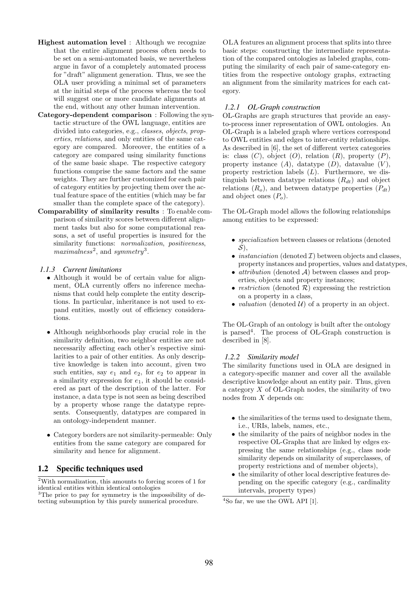- Highest automation level : Although we recognize that the entire alignment process often needs to be set on a semi-automated basis, we nevertheless argue in favor of a completely automated process for "draft" alignment generation. Thus, we see the OLA user providing a minimal set of parameters at the initial steps of the process whereas the tool will suggest one or more candidate alignments at the end, without any other human intervention.
- Category-dependent comparison : Following the syntactic structure of the OWL language, entities are divided into categories, e.g., classes, objects, properties, relations, and only entities of the same category are compared. Moreover, the entities of a category are compared using similarity functions of the same basic shape. The respective category functions comprise the same factors and the same weights. They are further customized for each pair of category entities by projecting them over the actual feature space of the entities (which may be far smaller than the complete space of the category).
- Comparability of similarity results : To enable comparison of similarity scores between different alignment tasks but also for some computational reasons, a set of useful properties is insured for the similarity functions: *normalization*, *positiveness*, maximalness<sup>2</sup>, and symmetry<sup>3</sup>.

#### *1.1.3 Current limitations*

- Although it would be of certain value for alignment, OLA currently offers no inference mechanisms that could help complete the entity descriptions. In particular, inheritance is not used to expand entities, mostly out of efficiency considerations.
- Although neighborhoods play crucial role in the similarity definition, two neighbor entities are not necessarily affecting each other's respective similarities to a pair of other entities. As only descriptive knowledge is taken into account, given two such entities, say  $e_1$  and  $e_2$ , for  $e_2$  to appear in a similarity expression for  $e_1$ , it should be considered as part of the description of the latter. For instance, a data type is not seen as being described by a property whose range the datatype represents. Consequently, datatypes are compared in an ontology-independent manner.
- Category borders are not similarity-permeable: Only entities from the same category are compared for similarity and hence for alignment.

# 1.2 Specific techniques used

 $^2\rm{With}$  normalization, this amounts to forcing scores of 1 for identical entities within identical ontologies

<sup>3</sup>The price to pay for symmetry is the impossibility of detecting subsumption by this purely numerical procedure.

OLA features an alignment process that splits into three basic steps: constructing the intermediate representation of the compared ontologies as labeled graphs, computing the similarity of each pair of same-category entities from the respective ontology graphs, extracting an alignment from the similarity matrices for each category.

### *1.2.1 OL-Graph construction*

OL-Graphs are graph structures that provide an easyto-process inner representation of OWL ontologies. An OL-Graph is a labeled graph where vertices correspond to OWL entities and edges to inter-entity relationships. As described in [6], the set of different vertex categories is: class  $(C)$ , object  $(O)$ , relation  $(R)$ , property  $(P)$ , property instance  $(A)$ , datatype  $(D)$ , datavalue  $(V)$ , property restriction labels  $(L)$ . Furthermore, we distinguish between datatype relations  $(R_{dt})$  and object relations  $(R_o)$ , and between datatype properties  $(P_{dt})$ and object ones  $(P<sub>o</sub>)$ .

The OL-Graph model allows the following relationships among entities to be expressed:

- *specialization* between classes or relations (denoted  $S$ ).
- *instanciation* (denoted  $\mathcal{I}$ ) between objects and classes, property instances and properties, values and datatypes,
- *attribution* (denoted  $A$ ) between classes and properties, objects and property instances;
- restriction (denoted  $R$ ) expressing the restriction on a property in a class,
- valuation (denoted  $\mathcal{U}$ ) of a property in an object.

The OL-Graph of an ontology is built after the ontology is parsed<sup>4</sup> . The process of OL-Graph construction is described in [8].

#### *1.2.2 Similarity model*

The similarity functions used in OLA are designed in a category-specific manner and cover all the available descriptive knowledge about an entity pair. Thus, given a category  $X$  of OL-Graph nodes, the similarity of two nodes from X depends on:

- the similarities of the terms used to designate them, i.e., URIs, labels, names, etc.,
- the similarity of the pairs of neighbor nodes in the respective OL-Graphs that are linked by edges expressing the same relationships (e.g., class node similarity depends on similarity of superclasses, of property restrictions and of member objects),
- the similarity of other local descriptive features depending on the specific category (e.g., cardinality intervals, property types)

 $4$ So far, we use the OWL API [1].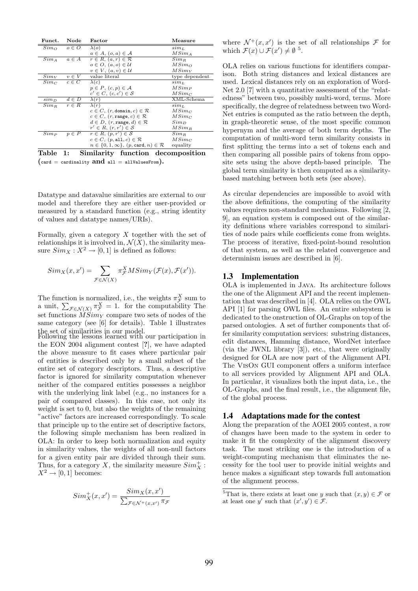| Funct.         | Node      | Factor                                                        | Measure                         |  |  |
|----------------|-----------|---------------------------------------------------------------|---------------------------------|--|--|
| $Sim_{\Omega}$ | $o \in O$ | $\lambda(o)$                                                  | $sim_L$                         |  |  |
|                |           | $a \in A$ , $(o, a) \in A$                                    | $MSim_A$                        |  |  |
| $Sim_A$        | $a \in A$ | $r \in R$ , $(a, r) \in \mathcal{R}$                          | $Sim_R$                         |  |  |
|                |           | $o \in O$ , $(a, o) \in U$                                    | $MSim_{\Omega}$                 |  |  |
|                |           | $v \in V$ , $(a, v) \in \mathcal{U}$                          | $MSim_V$                        |  |  |
| $Sim_V$        | $v \in V$ | value literal                                                 | type dependent                  |  |  |
| $Sim_C$        | $c \in C$ | $\lambda(c)$                                                  | $\sin n_L$                      |  |  |
|                |           | $p \in P$ , $(c, p) \in \mathcal{A}$                          | $MSim_P$                        |  |  |
|                |           | $c' \in C$ , $(c, c') \in S$                                  | $MSim_C$                        |  |  |
| $\sin n_D$     | $d \in D$ | $\lambda(r)$                                                  | $\overline{\text{XML}}$ -Schema |  |  |
| $Sim_R$        | $r \in R$ | $\lambda(r)$                                                  | $\sin n_L$                      |  |  |
|                |           | $c \in C$ , $(r, \text{domain}, c) \in \mathcal{R}$           | $MSim_C$                        |  |  |
|                |           | $c \in C$ , $(r, \text{range}, c) \in \mathcal{R}$            | $MSim_C$                        |  |  |
|                |           | $d \in D$ , $(r, \text{range}, d) \in \mathcal{R}$            | $Sim_D$                         |  |  |
|                |           | $r' \in R$ , $(r, r') \in S$                                  | $MSim_R$                        |  |  |
| $Sim_P$        | $p \in P$ | $r \in R$ , $(p, r') \in S$                                   | $Sim_R$                         |  |  |
|                |           | $c \in C$ , $(p, \text{all}, c) \in \mathcal{R}$              | $MSim_C$                        |  |  |
|                |           | $n \in \{0, 1, \infty\}, (p, \text{card}, n) \in \mathcal{R}$ | equality                        |  |  |
| .              | $\sim$    | $\cdots$ . $\cdots$                                           | $\bullet$ . $\bullet$           |  |  |

Table 1: Similarity function decomposition  $(\text{card} = \text{cardinality} \text{ and all } = \text{allValuesFrom}).$ 

Datatype and datavalue similarities are external to our model and therefore they are either user-provided or measured by a standard function (e.g., string identity of values and datatype names/URIs).

Formally, given a category  $X$  together with the set of relationships it is involved in,  $\mathcal{N}(X)$ , the similarity measure  $Sim_X : X^2 \to [0, 1]$  is defined as follows:

$$
Sim_X(x, x') = \sum_{\mathcal{F} \in \mathcal{N}(X)} \pi_{\mathcal{F}}^X M Sim_Y(\mathcal{F}(x), \mathcal{F}(x')).
$$

The function is normalized, i.e., the weights  $\pi_{\mathcal{F}}^{X}$  sum to a unit,  $\sum_{\mathcal{F} \in \mathcal{N}(X)} \pi_{\mathcal{F}}^X = 1$ . for the computability The set functions  $\hat{MSim}_Y$  compare two sets of nodes of the same category (see [6] for details). Table 1 illustrates the set of similarities in our model.

Following the lessons learned with our participation in the EON 2004 alignment contest [?], we have adapted the above measure to fit cases where particular pair of entities is described only by a small subset of the entire set of category descriptors. Thus, a descriptive factor is ignored for similarity computation whenever neither of the compared entities possesses a neighbor with the underlying link label (e.g., no instances for a pair of compared classes). In this case, not only its weight is set to 0, but also the weights of the remaining "active" factors are increased correspondingly. To scale that principle up to the entire set of descriptive factors, the following simple mechanism has been realized in OLA: In order to keep both normalization and equity in similarity values, the weights of all non-null factors for a given entity pair are divided through their sum. Thus, for a category X, the similarity measure  $Sim_{X}^{+}$ :  $X^2 \rightarrow [0, 1]$  becomes:

$$
Sim_X^+(x,x') = \frac{Sim_X(x,x')}{\sum_{\mathcal{F} \in \mathcal{N}^+(x,x')} \pi_{\mathcal{F}}}
$$

where  $\mathcal{N}^+(x,x')$  is the set of all relationships  $\mathcal F$  for which  $\mathcal{F}(x) \cup \mathcal{F}(x') \neq \emptyset$ <sup>5</sup>.

OLA relies on various functions for identifiers comparison. Both string distances and lexical distances are used. Lexical distances rely on an exploration of Word-Net 2.0 [7] with a quantitative assessment of the "relatedness" between two, possibly multi-word, terms. More specifically, the degree of relatedness between two Word-Net entries is computed as the ratio between the depth, in graph-theoretic sense, of the most specific common hypernym and the average of both term depths. The computation of multi-word term similarity consists in first splitting the terms into a set of tokens each and then comparing all possible pairs of tokens from opposite sets using the above depth-based principle. The global term similarity is then computed as a similaritybased matching between both sets (see above).

As circular dependencies are impossible to avoid with the above definitions, the computing of the similarity values requires non-standard mechanisms. Following [2, 9], an equation system is composed out of the similarity definitions where variables correspond to similarities of node pairs while coefficients come from weights. The process of iterative, fixed-point-bound resolution of that system, as well as the related convergence and determinism issues are described in [6].

#### 1.3 Implementation

OLA is implemented in Java. Its architecture follows the one of the Alignment API and the recent implementation that was described in [4]. OLA relies on the OWL API [1] for parsing OWL files. An entire subsystem is dedicated to the onstruction of OL-Graphs on top of the parsed ontologies. A set of further components that offer similarity computation services: substring distances, edit distances, Hamming distance, WordNet interface (via the JWNL library [3]), etc., that were originally designed for OLA are now part of the Alignment API. The VisOn GUI component offers a uniform interface to all services provided by Alignment API and OLA. In particular, it visualizes both the input data, i.e., the OL-Graphs, and the final result, i.e., the alignment file, of the global process.

### 1.4 Adaptations made for the contest

Along the preparation of the AOEI 2005 contest, a row of changes have been made to the system in order to make it fit the complexity of the alignment discovery task. The most striking one is the introduction of a weight-computing mechanism that eliminates the necessity for the tool user to provide initial weights and hence makes a significant step towards full automation of the alignment process.

 $^{5} \mathrm{That}$  is, there exists at least one  $y$  such that  $(x,y) \in \mathcal{F}$  or at least one y' such that  $(x', y') \in \mathcal{F}$ .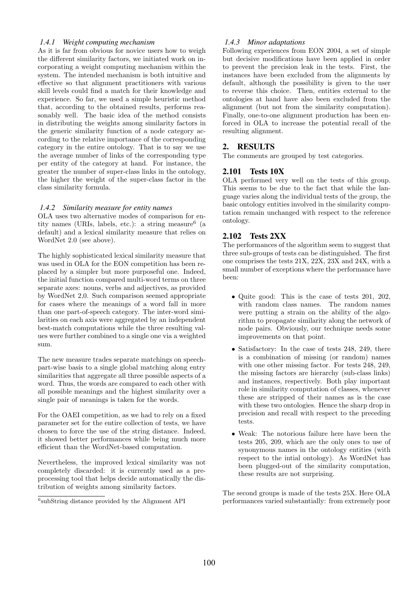# *1.4.1 Weight computing mechanism*

As it is far from obvious for novice users how to weigh the different similarity factors, we initiated work on incorporating a weight computing mechanism within the system. The intended mechanism is both intuitive and effective so that alignment practitioners with various skill levels could find a match for their knowledge and experience. So far, we used a simple heuristic method that, according to the obtained results, performs reasonably well. The basic idea of the method consists in distributing the weights among similarity factors in the generic similarity function of a node category according to the relative importance of the corresponding category in the entire ontology. That is to say we use the average number of links of the corresponding type per entity of the category at hand. For instance, the greater the number of super-class links in the ontology, the higher the weight of the super-class factor in the class similarity formula.

# *1.4.2 Similarity measure for entity names*

OLA uses two alternative modes of comparison for entity names (URIs, labels, etc.): a string measure<sup>6</sup> (a default) and a lexical similarity measure that relies on WordNet 2.0 (see above).

The highly sophisticated lexical similarity measure that was used in OLA for the EON competition has been replaced by a simpler but more purposeful one. Indeed, the initial function compared multi-word terms on three separate axes: nouns, verbs and adjectives, as provided by WordNet 2,0. Such comparison seemed appropriate for cases where the meanings of a word fall in more than one part-of-speech category. The inter-word similarities on each axis were aggregated by an independent best-match computations while the three resulting values were further combined to a single one via a weighted sum.

The new measure trades separate matchings on speechpart-wise basis to a single global matching along entry similarities that aggregate all three possible aspects of a word. Thus, the words are compared to each other with all possible meanings and the highest similarity over a single pair of meanings is taken for the words.

For the OAEI competition, as we had to rely on a fixed parameter set for the entire collection of tests, we have chosen to force the use of the string distance. Indeed, it showed better performances while being much more efficient than the WordNet-based computation.

Nevertheless, the improved lexical similarity was not completely discarded: it is currently used as a preprocessing tool that helps decide automatically the distribution of weights among similarity factors.

#### *1.4.3 Minor adaptations*

Following experiences from EON 2004, a set of simple but decisive modifications have been applied in order to prevent the precision leak in the tests. First, the instances have been excluded from the alignments by default, although the possibility is given to the user to reverse this choice. Then, entities external to the ontologies at hand have also been excluded from the alignment (but not from the similarity computation). Finally, one-to-one alignment production has been enforced in OLA to increase the potential recall of the resulting alignment.

# 2. RESULTS

The comments are grouped by test categories.

# 2.101 Tests 10X

OLA performed very well on the tests of this group. This seems to be due to the fact that while the language varies along the individual tests of the group, the basic ontology entities involved in the similarity computation remain unchanged with respect to the reference ontology.

# 2.102 Tests 2XX

The performances of the algorithm seem to suggest that three sub-groups of tests can be distinguished. The first one comprises the tests 21X, 22X, 23X and 24X, with a small number of exceptions where the performance have been:

- Quite good: This is the case of tests 201, 202, with random class names. The random names were putting a strain on the ability of the algorithm to propagate similarity along the network of node pairs. Obviously, our technique needs some improvements on that point.
- Satisfactory: In the case of tests 248, 249, there is a combination of missing (or random) names with one other missing factor. For tests 248, 249, the missing factors are hierarchy (sub-class links) and instances, respectively. Both play important role in similarity computation of classes, whenever these are stripped of their names as is the case with these two ontologies. Hence the sharp drop in precision and recall with respect to the preceding tests.
- Weak: The notorious failure here have been the tests 205, 209, which are the only ones to use of synonymous names in the ontology entities (with respect to the intial ontology). As WordNet has been plugged-out of the similarity computation, these results are not surprising.

The second groups is made of the tests 25X. Here OLA performances varied substantially: from extremely poor

 ${}^{6}$ subString distance provided by the Alignment API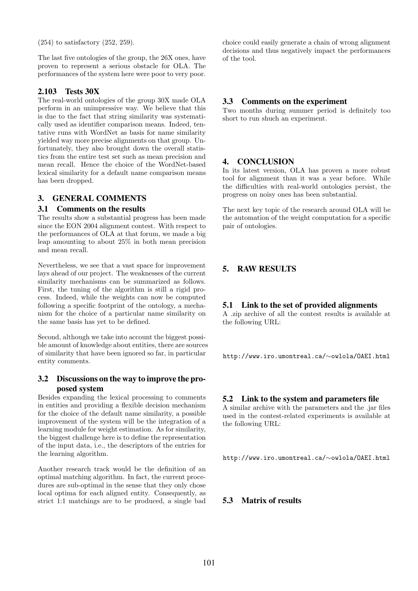(254) to satisfactory (252, 259).

The last five ontologies of the group, the 26X ones, have proven to represent a serious obstacle for OLA. The performances of the system here were poor to very poor.

# 2.103 Tests 30X

The real-world ontologies of the group 30X made OLA perform in an unimpressive way. We believe that this is due to the fact that string similarity was systematically used as identifier comparison means. Indeed, tentative runs with WordNet as basis for name similarity yielded way more precise alignments on that group. Unfortunately, they also brought down the overall statistics from the entire test set such as mean precision and mean recall. Hence the choice of the WordNet-based lexical similarity for a default name comparison means has been dropped.

# 3. GENERAL COMMENTS

#### 3.1 Comments on the results

The results show a substantial progress has been made since the EON 2004 alignment contest. With respect to the performances of OLA at that forum, we made a big leap amounting to about 25% in both mean precision and mean recall.

Nevertheless, we see that a vast space for improvement lays ahead of our project. The weaknesses of the current similarity mechanisms can be summarized as follows. First, the tuning of the algorithm is still a rigid process. Indeed, while the weights can now be computed following a specific footprint of the ontology, a mechanism for the choice of a particular name similarity on the same basis has yet to be defined.

Second, although we take into account the biggest possible amount of knowledge about entities, there are sources of similarity that have been ignored so far, in particular entity comments.

# 3.2 Discussions on the way to improve the proposed system

Besides expanding the lexical processing to comments in entities and providing a flexible decision mechanism for the choice of the default name similarity, a possible improvement of the system will be the integration of a learning module for weight estimation. As for similarity, the biggest challenge here is to define the representation of the input data, i.e., the descriptors of the entries for the learning algorithm.

Another research track would be the definition of an optimal matching algorithm. In fact, the current procedures are sub-optimal in the sense that they only chose local optima for each aligned entity. Consequently, as strict 1:1 matchings are to be produced, a single bad

choice could easily generate a chain of wrong alignment decisions and thus negatively impact the performances of the tool.

### 3.3 Comments on the experiment

Two months during summer period is definitely too short to run shuch an experiment.

#### 4. CONCLUSION

In its latest version, OLA has proven a more robust tool for alignment than it was a year before. While the difficulties with real-world ontologies persist, the progress on noisy ones has been substantial.

The next key topic of the research around OLA will be the automation of the weight computation for a specific pair of ontologies.

# 5. RAW RESULTS

#### 5.1 Link to the set of provided alignments

A .zip archive of all the contest results is available at the following URL:

http://www.iro.umontreal.ca/∼owlola/OAEI.html

#### 5.2 Link to the system and parameters file

A similar archive with the parameters and the .jar files used in the contest-related experiments is available at the following URL:

http://www.iro.umontreal.ca/∼owlola/OAEI.html

#### 5.3 Matrix of results